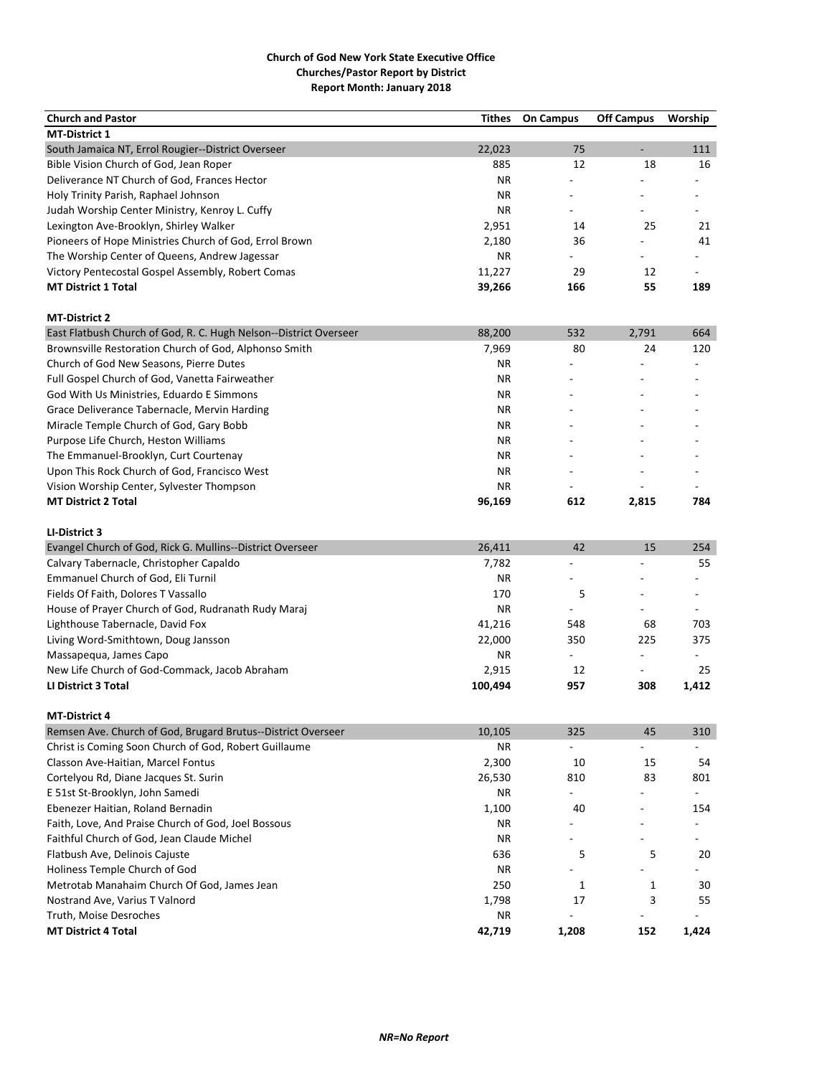| <b>Church and Pastor</b>                                                             | Tithes    | <b>On Campus</b>         | <b>Off Campus</b>        | Worship                  |
|--------------------------------------------------------------------------------------|-----------|--------------------------|--------------------------|--------------------------|
| <b>MT-District 1</b>                                                                 |           |                          |                          |                          |
| South Jamaica NT, Errol Rougier--District Overseer                                   | 22,023    | 75                       | ÷,                       | 111                      |
| Bible Vision Church of God, Jean Roper                                               | 885       | 12                       | 18                       | 16                       |
| Deliverance NT Church of God, Frances Hector                                         | ΝR        |                          |                          |                          |
| Holy Trinity Parish, Raphael Johnson                                                 | <b>NR</b> |                          |                          |                          |
| Judah Worship Center Ministry, Kenroy L. Cuffy                                       | ΝR        |                          |                          |                          |
| Lexington Ave-Brooklyn, Shirley Walker                                               | 2,951     | 14                       | 25                       | 21                       |
| Pioneers of Hope Ministries Church of God, Errol Brown                               | 2,180     | 36                       |                          | 41                       |
| The Worship Center of Queens, Andrew Jagessar                                        | <b>NR</b> |                          |                          |                          |
| Victory Pentecostal Gospel Assembly, Robert Comas                                    | 11,227    | 29                       | 12                       | $\sim$                   |
| <b>MT District 1 Total</b>                                                           | 39,266    | 166                      | 55                       | 189                      |
|                                                                                      |           |                          |                          |                          |
| <b>MT-District 2</b>                                                                 |           |                          |                          |                          |
| East Flatbush Church of God, R. C. Hugh Nelson--District Overseer                    | 88,200    | 532                      | 2,791                    | 664                      |
| Brownsville Restoration Church of God, Alphonso Smith                                | 7,969     | 80                       | 24                       | 120                      |
| Church of God New Seasons, Pierre Dutes                                              | ΝR        | L.                       |                          |                          |
| Full Gospel Church of God, Vanetta Fairweather                                       | ΝR        |                          |                          |                          |
| God With Us Ministries, Eduardo E Simmons                                            | ΝR        |                          |                          |                          |
| Grace Deliverance Tabernacle, Mervin Harding                                         | ΝR        |                          |                          |                          |
| Miracle Temple Church of God, Gary Bobb                                              | ΝR        |                          |                          |                          |
| Purpose Life Church, Heston Williams                                                 | ΝR        |                          |                          |                          |
| The Emmanuel-Brooklyn, Curt Courtenay                                                | ΝR        |                          |                          |                          |
| Upon This Rock Church of God, Francisco West                                         | ΝR        |                          |                          |                          |
| Vision Worship Center, Sylvester Thompson                                            | ΝR        |                          |                          |                          |
| <b>MT District 2 Total</b>                                                           | 96,169    | 612                      | 2,815                    | 784                      |
|                                                                                      |           |                          |                          |                          |
| LI-District 3                                                                        |           |                          |                          |                          |
| Evangel Church of God, Rick G. Mullins--District Overseer                            | 26,411    | 42                       | 15                       | 254                      |
| Calvary Tabernacle, Christopher Capaldo                                              | 7,782     | $\overline{\phantom{a}}$ | $\overline{a}$           | 55                       |
| Emmanuel Church of God, Eli Turnil                                                   | <b>NR</b> |                          |                          |                          |
| Fields Of Faith, Dolores T Vassallo                                                  | 170       | 5                        |                          | $\overline{\phantom{a}}$ |
| House of Prayer Church of God, Rudranath Rudy Maraj                                  | <b>NR</b> |                          |                          |                          |
| Lighthouse Tabernacle, David Fox                                                     | 41,216    | 548                      | 68                       | 703                      |
| Living Word-Smithtown, Doug Jansson                                                  | 22,000    | 350                      | 225                      | 375                      |
| Massapequa, James Capo                                                               | ΝR        | $\overline{a}$           | $\overline{a}$           |                          |
| New Life Church of God-Commack, Jacob Abraham                                        | 2,915     | 12                       | $\overline{\phantom{0}}$ | 25                       |
| LI District 3 Total                                                                  | 100,494   | 957                      | 308                      | 1,412                    |
|                                                                                      |           |                          |                          |                          |
| <b>MT-District 4</b><br>Remsen Ave. Church of God, Brugard Brutus--District Overseer | 10,105    | 325                      | 45                       | 310                      |
|                                                                                      |           |                          |                          |                          |
| Christ is Coming Soon Church of God, Robert Guillaume                                | ΝR        |                          |                          |                          |
| Classon Ave-Haitian, Marcel Fontus                                                   | 2,300     | 10                       | 15                       | 54                       |
| Cortelyou Rd, Diane Jacques St. Surin                                                | 26,530    | 810                      | 83                       | 801                      |
| E 51st St-Brooklyn, John Samedi                                                      | ΝR        | $\overline{\phantom{a}}$ |                          | $\overline{\phantom{a}}$ |
| Ebenezer Haitian, Roland Bernadin                                                    | 1,100     | 40                       |                          | 154                      |
| Faith, Love, And Praise Church of God, Joel Bossous                                  | ΝR        |                          |                          |                          |
| Faithful Church of God, Jean Claude Michel                                           | <b>NR</b> | $\overline{\phantom{a}}$ |                          |                          |
| Flatbush Ave, Delinois Cajuste                                                       | 636       | 5                        | 5                        | 20                       |
| Holiness Temple Church of God                                                        | ΝR        |                          |                          |                          |
| Metrotab Manahaim Church Of God, James Jean                                          | 250       | 1                        | $\mathbf{1}$             | 30                       |
| Nostrand Ave, Varius T Valnord                                                       | 1,798     | 17                       | 3                        | 55                       |
| Truth, Moise Desroches                                                               | ΝR        |                          |                          |                          |
| <b>MT District 4 Total</b>                                                           | 42,719    | 1,208                    | 152                      | 1,424                    |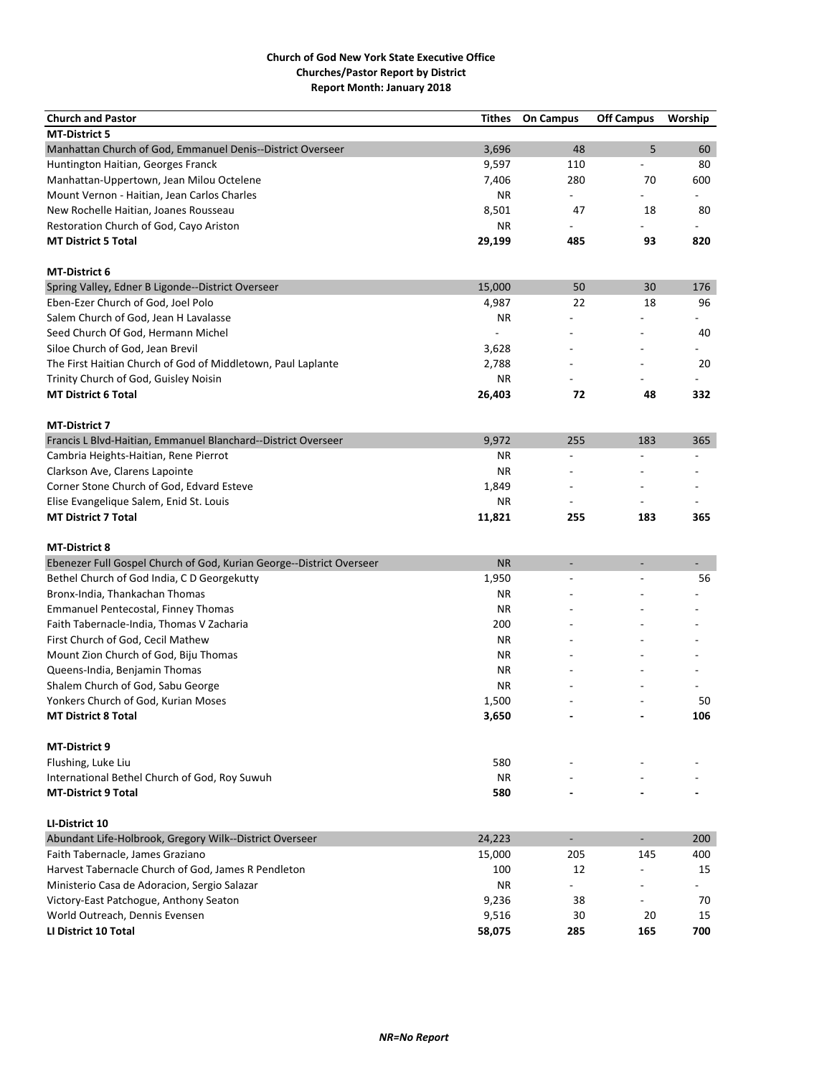| <b>Church and Pastor</b>                                             | <b>Tithes</b>  | <b>On Campus</b>         | <b>Off Campus</b>        | Worship                  |
|----------------------------------------------------------------------|----------------|--------------------------|--------------------------|--------------------------|
| <b>MT-District 5</b>                                                 |                |                          |                          |                          |
| Manhattan Church of God, Emmanuel Denis--District Overseer           | 3,696          | 48                       | 5                        | 60                       |
| Huntington Haitian, Georges Franck                                   | 9,597          | 110                      | $\overline{a}$           | 80                       |
| Manhattan-Uppertown, Jean Milou Octelene                             | 7,406          | 280                      | 70                       | 600                      |
| Mount Vernon - Haitian, Jean Carlos Charles                          | ΝR             | $\overline{\phantom{a}}$ |                          | $\overline{\phantom{0}}$ |
| New Rochelle Haitian, Joanes Rousseau                                | 8,501          | 47                       | 18                       | 80                       |
| Restoration Church of God, Cayo Ariston                              | ΝR             |                          |                          |                          |
| <b>MT District 5 Total</b>                                           | 29,199         | 485                      | 93                       | 820                      |
| <b>MT-District 6</b>                                                 |                |                          |                          |                          |
| Spring Valley, Edner B Ligonde--District Overseer                    | 15,000         | 50                       | 30                       | 176                      |
| Eben-Ezer Church of God, Joel Polo                                   | 4,987          | 22                       | 18                       | 96                       |
| Salem Church of God, Jean H Lavalasse                                | ΝR             |                          |                          |                          |
| Seed Church Of God, Hermann Michel                                   | $\overline{a}$ |                          |                          | 40                       |
| Siloe Church of God, Jean Brevil                                     | 3,628          |                          |                          |                          |
| The First Haitian Church of God of Middletown, Paul Laplante         | 2,788          |                          |                          | 20                       |
| Trinity Church of God, Guisley Noisin                                | ΝR             |                          |                          |                          |
| <b>MT District 6 Total</b>                                           | 26,403         | 72                       | 48                       | 332                      |
| <b>MT-District 7</b>                                                 |                |                          |                          |                          |
| Francis L Blvd-Haitian, Emmanuel Blanchard--District Overseer        | 9,972          | 255                      | 183                      | 365                      |
| Cambria Heights-Haitian, Rene Pierrot                                | ΝR             | $\overline{a}$           |                          |                          |
| Clarkson Ave, Clarens Lapointe                                       | ΝR             |                          |                          |                          |
| Corner Stone Church of God, Edvard Esteve                            | 1,849          |                          |                          |                          |
| Elise Evangelique Salem, Enid St. Louis                              | <b>NR</b>      |                          |                          |                          |
| <b>MT District 7 Total</b>                                           | 11,821         | 255                      | 183                      | 365                      |
|                                                                      |                |                          |                          |                          |
| <b>MT-District 8</b>                                                 |                |                          |                          |                          |
| Ebenezer Full Gospel Church of God, Kurian George--District Overseer | <b>NR</b>      | $\overline{\phantom{a}}$ | $\overline{a}$           | ÷,                       |
| Bethel Church of God India, C D Georgekutty                          | 1,950          | $\overline{a}$           | Ĭ.                       | 56                       |
| Bronx-India, Thankachan Thomas                                       | ΝR             |                          |                          |                          |
| Emmanuel Pentecostal, Finney Thomas                                  | <b>NR</b>      |                          |                          |                          |
| Faith Tabernacle-India, Thomas V Zacharia                            | 200            |                          |                          |                          |
| First Church of God, Cecil Mathew                                    | <b>NR</b>      |                          |                          |                          |
| Mount Zion Church of God, Biju Thomas                                | <b>NR</b>      |                          |                          |                          |
| Queens-India, Benjamin Thomas                                        | ΝR             |                          |                          |                          |
| Shalem Church of God, Sabu George                                    | <b>NR</b>      |                          |                          |                          |
| Yonkers Church of God, Kurian Moses                                  | 1,500          |                          |                          | 50                       |
| <b>MT District 8 Total</b>                                           | 3,650          |                          |                          | 106                      |
| <b>MT-District 9</b>                                                 |                |                          |                          |                          |
| Flushing, Luke Liu                                                   | 580            |                          |                          |                          |
| International Bethel Church of God, Roy Suwuh                        | <b>NR</b>      |                          |                          |                          |
| <b>MT-District 9 Total</b>                                           | 580            |                          |                          |                          |
| LI-District 10                                                       |                |                          |                          |                          |
| Abundant Life-Holbrook, Gregory Wilk--District Overseer              | 24,223         | ÷,                       | $\overline{\phantom{a}}$ | 200                      |
| Faith Tabernacle, James Graziano                                     | 15,000         | 205                      | 145                      | 400                      |
| Harvest Tabernacle Church of God, James R Pendleton                  | 100            | 12                       |                          | 15                       |
| Ministerio Casa de Adoracion, Sergio Salazar                         | <b>NR</b>      | $\overline{a}$           | $\overline{a}$           |                          |
| Victory-East Patchogue, Anthony Seaton                               | 9,236          | 38                       | $\blacksquare$           | 70                       |
| World Outreach, Dennis Evensen                                       | 9,516          | 30                       | 20                       | 15                       |
| LI District 10 Total                                                 | 58,075         | 285                      | 165                      | 700                      |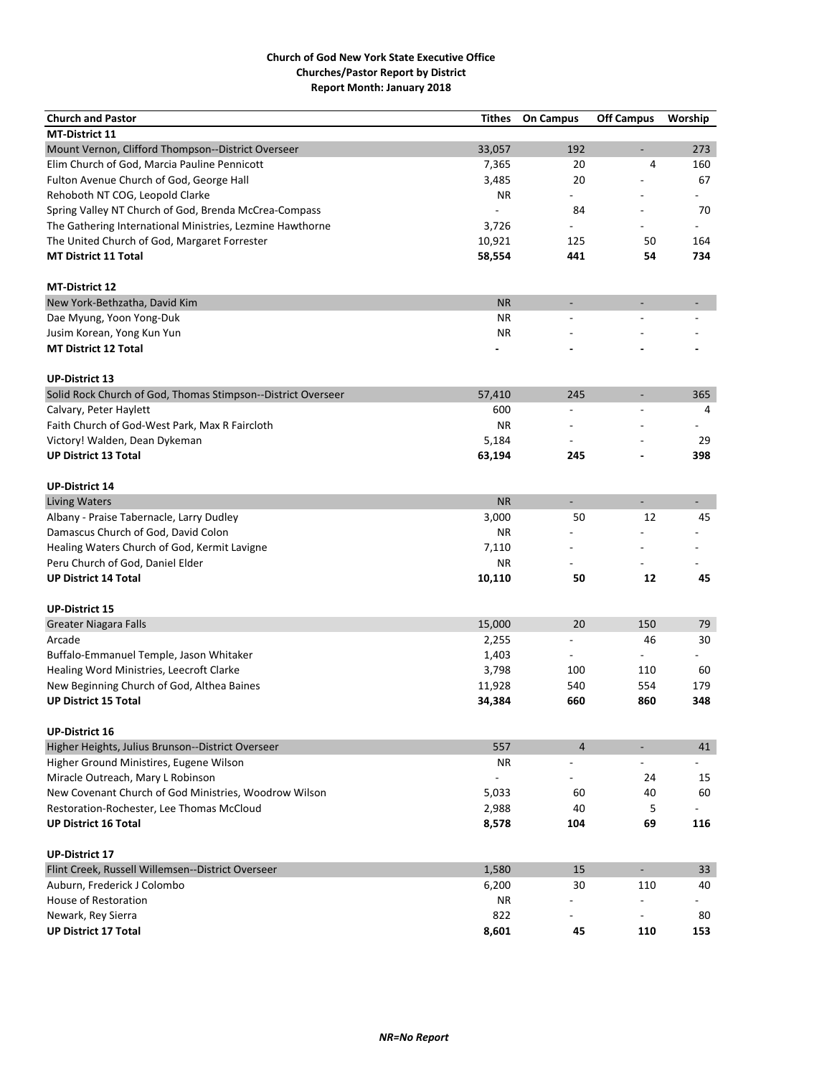| 33,057<br>273<br>192<br>$\overline{\phantom{a}}$<br>7,365<br>20<br>4<br>160<br>Fulton Avenue Church of God, George Hall<br>20<br>67<br>3,485<br>Rehoboth NT COG, Leopold Clarke<br>NR.<br>84<br>70<br>Spring Valley NT Church of God, Brenda McCrea-Compass<br>The Gathering International Ministries, Lezmine Hawthorne<br>3,726<br>10,921<br>The United Church of God, Margaret Forrester<br>125<br>50<br>164<br><b>MT District 11 Total</b><br>58,554<br>441<br>54<br>734<br><b>NR</b><br>$\overline{\phantom{a}}$<br><b>NR</b><br><b>NR</b><br>Jusim Korean, Yong Kun Yun<br><b>UP-District 13</b><br>Solid Rock Church of God, Thomas Stimpson--District Overseer<br>57,410<br>245<br>365<br>$\overline{\phantom{a}}$<br>Calvary, Peter Haylett<br>600<br>$\overline{a}$<br>4<br>$\overline{a}$<br>Faith Church of God-West Park, Max R Faircloth<br><b>NR</b><br>5,184<br>Victory! Walden, Dean Dykeman<br>29<br><b>UP District 13 Total</b><br>398<br>63,194<br>245<br><b>NR</b><br>÷,<br>$\overline{\phantom{a}}$<br>÷,<br>3,000<br>50<br>12<br>45<br><b>NR</b><br>7,110<br>NR.<br>10,110<br>50<br>12<br>45<br>15,000<br>20<br>150<br>79<br><b>Greater Niagara Falls</b><br>2,255<br>46<br>30<br>1,403<br>$\overline{\phantom{a}}$<br>3,798<br>100<br>110<br>60<br>554<br>179<br>11,928<br>540<br>34,384<br>660<br>860<br>348<br>557<br>$\overline{4}$<br>41<br><b>NR</b><br>24<br>15<br>New Covenant Church of God Ministries, Woodrow Wilson<br>5,033<br>60<br>40<br>60<br>Restoration-Rochester, Lee Thomas McCloud<br>2,988<br>40<br>5<br>69<br>8,578<br>104<br>116<br><b>UP-District 17</b><br>Flint Creek, Russell Willemsen--District Overseer<br>1,580<br>15<br>$\blacksquare$<br>33<br>Auburn, Frederick J Colombo<br>6,200<br>30<br>110<br>40<br>House of Restoration<br>ΝR<br>Newark, Rey Sierra<br>822<br>80 | <b>Church and Pastor</b>                           | <b>Tithes</b> | <b>On Campus</b> | <b>Off Campus</b> | Worship |
|----------------------------------------------------------------------------------------------------------------------------------------------------------------------------------------------------------------------------------------------------------------------------------------------------------------------------------------------------------------------------------------------------------------------------------------------------------------------------------------------------------------------------------------------------------------------------------------------------------------------------------------------------------------------------------------------------------------------------------------------------------------------------------------------------------------------------------------------------------------------------------------------------------------------------------------------------------------------------------------------------------------------------------------------------------------------------------------------------------------------------------------------------------------------------------------------------------------------------------------------------------------------------------------------------------------------------------------------------------------------------------------------------------------------------------------------------------------------------------------------------------------------------------------------------------------------------------------------------------------------------------------------------------------------------------------------------------------------------------------------------------------------------------------------------------------------------------|----------------------------------------------------|---------------|------------------|-------------------|---------|
|                                                                                                                                                                                                                                                                                                                                                                                                                                                                                                                                                                                                                                                                                                                                                                                                                                                                                                                                                                                                                                                                                                                                                                                                                                                                                                                                                                                                                                                                                                                                                                                                                                                                                                                                                                                                                                  | <b>MT-District 11</b>                              |               |                  |                   |         |
|                                                                                                                                                                                                                                                                                                                                                                                                                                                                                                                                                                                                                                                                                                                                                                                                                                                                                                                                                                                                                                                                                                                                                                                                                                                                                                                                                                                                                                                                                                                                                                                                                                                                                                                                                                                                                                  | Mount Vernon, Clifford Thompson--District Overseer |               |                  |                   |         |
|                                                                                                                                                                                                                                                                                                                                                                                                                                                                                                                                                                                                                                                                                                                                                                                                                                                                                                                                                                                                                                                                                                                                                                                                                                                                                                                                                                                                                                                                                                                                                                                                                                                                                                                                                                                                                                  | Elim Church of God, Marcia Pauline Pennicott       |               |                  |                   |         |
|                                                                                                                                                                                                                                                                                                                                                                                                                                                                                                                                                                                                                                                                                                                                                                                                                                                                                                                                                                                                                                                                                                                                                                                                                                                                                                                                                                                                                                                                                                                                                                                                                                                                                                                                                                                                                                  |                                                    |               |                  |                   |         |
|                                                                                                                                                                                                                                                                                                                                                                                                                                                                                                                                                                                                                                                                                                                                                                                                                                                                                                                                                                                                                                                                                                                                                                                                                                                                                                                                                                                                                                                                                                                                                                                                                                                                                                                                                                                                                                  |                                                    |               |                  |                   |         |
|                                                                                                                                                                                                                                                                                                                                                                                                                                                                                                                                                                                                                                                                                                                                                                                                                                                                                                                                                                                                                                                                                                                                                                                                                                                                                                                                                                                                                                                                                                                                                                                                                                                                                                                                                                                                                                  |                                                    |               |                  |                   |         |
|                                                                                                                                                                                                                                                                                                                                                                                                                                                                                                                                                                                                                                                                                                                                                                                                                                                                                                                                                                                                                                                                                                                                                                                                                                                                                                                                                                                                                                                                                                                                                                                                                                                                                                                                                                                                                                  |                                                    |               |                  |                   |         |
|                                                                                                                                                                                                                                                                                                                                                                                                                                                                                                                                                                                                                                                                                                                                                                                                                                                                                                                                                                                                                                                                                                                                                                                                                                                                                                                                                                                                                                                                                                                                                                                                                                                                                                                                                                                                                                  |                                                    |               |                  |                   |         |
|                                                                                                                                                                                                                                                                                                                                                                                                                                                                                                                                                                                                                                                                                                                                                                                                                                                                                                                                                                                                                                                                                                                                                                                                                                                                                                                                                                                                                                                                                                                                                                                                                                                                                                                                                                                                                                  |                                                    |               |                  |                   |         |
|                                                                                                                                                                                                                                                                                                                                                                                                                                                                                                                                                                                                                                                                                                                                                                                                                                                                                                                                                                                                                                                                                                                                                                                                                                                                                                                                                                                                                                                                                                                                                                                                                                                                                                                                                                                                                                  |                                                    |               |                  |                   |         |
|                                                                                                                                                                                                                                                                                                                                                                                                                                                                                                                                                                                                                                                                                                                                                                                                                                                                                                                                                                                                                                                                                                                                                                                                                                                                                                                                                                                                                                                                                                                                                                                                                                                                                                                                                                                                                                  | <b>MT-District 12</b>                              |               |                  |                   |         |
|                                                                                                                                                                                                                                                                                                                                                                                                                                                                                                                                                                                                                                                                                                                                                                                                                                                                                                                                                                                                                                                                                                                                                                                                                                                                                                                                                                                                                                                                                                                                                                                                                                                                                                                                                                                                                                  | New York-Bethzatha, David Kim                      |               |                  |                   |         |
|                                                                                                                                                                                                                                                                                                                                                                                                                                                                                                                                                                                                                                                                                                                                                                                                                                                                                                                                                                                                                                                                                                                                                                                                                                                                                                                                                                                                                                                                                                                                                                                                                                                                                                                                                                                                                                  | Dae Myung, Yoon Yong-Duk                           |               |                  |                   |         |
|                                                                                                                                                                                                                                                                                                                                                                                                                                                                                                                                                                                                                                                                                                                                                                                                                                                                                                                                                                                                                                                                                                                                                                                                                                                                                                                                                                                                                                                                                                                                                                                                                                                                                                                                                                                                                                  |                                                    |               |                  |                   |         |
|                                                                                                                                                                                                                                                                                                                                                                                                                                                                                                                                                                                                                                                                                                                                                                                                                                                                                                                                                                                                                                                                                                                                                                                                                                                                                                                                                                                                                                                                                                                                                                                                                                                                                                                                                                                                                                  | <b>MT District 12 Total</b>                        |               |                  |                   |         |
|                                                                                                                                                                                                                                                                                                                                                                                                                                                                                                                                                                                                                                                                                                                                                                                                                                                                                                                                                                                                                                                                                                                                                                                                                                                                                                                                                                                                                                                                                                                                                                                                                                                                                                                                                                                                                                  |                                                    |               |                  |                   |         |
|                                                                                                                                                                                                                                                                                                                                                                                                                                                                                                                                                                                                                                                                                                                                                                                                                                                                                                                                                                                                                                                                                                                                                                                                                                                                                                                                                                                                                                                                                                                                                                                                                                                                                                                                                                                                                                  |                                                    |               |                  |                   |         |
|                                                                                                                                                                                                                                                                                                                                                                                                                                                                                                                                                                                                                                                                                                                                                                                                                                                                                                                                                                                                                                                                                                                                                                                                                                                                                                                                                                                                                                                                                                                                                                                                                                                                                                                                                                                                                                  |                                                    |               |                  |                   |         |
|                                                                                                                                                                                                                                                                                                                                                                                                                                                                                                                                                                                                                                                                                                                                                                                                                                                                                                                                                                                                                                                                                                                                                                                                                                                                                                                                                                                                                                                                                                                                                                                                                                                                                                                                                                                                                                  |                                                    |               |                  |                   |         |
|                                                                                                                                                                                                                                                                                                                                                                                                                                                                                                                                                                                                                                                                                                                                                                                                                                                                                                                                                                                                                                                                                                                                                                                                                                                                                                                                                                                                                                                                                                                                                                                                                                                                                                                                                                                                                                  |                                                    |               |                  |                   |         |
|                                                                                                                                                                                                                                                                                                                                                                                                                                                                                                                                                                                                                                                                                                                                                                                                                                                                                                                                                                                                                                                                                                                                                                                                                                                                                                                                                                                                                                                                                                                                                                                                                                                                                                                                                                                                                                  |                                                    |               |                  |                   |         |
|                                                                                                                                                                                                                                                                                                                                                                                                                                                                                                                                                                                                                                                                                                                                                                                                                                                                                                                                                                                                                                                                                                                                                                                                                                                                                                                                                                                                                                                                                                                                                                                                                                                                                                                                                                                                                                  |                                                    |               |                  |                   |         |
|                                                                                                                                                                                                                                                                                                                                                                                                                                                                                                                                                                                                                                                                                                                                                                                                                                                                                                                                                                                                                                                                                                                                                                                                                                                                                                                                                                                                                                                                                                                                                                                                                                                                                                                                                                                                                                  | <b>UP-District 14</b>                              |               |                  |                   |         |
|                                                                                                                                                                                                                                                                                                                                                                                                                                                                                                                                                                                                                                                                                                                                                                                                                                                                                                                                                                                                                                                                                                                                                                                                                                                                                                                                                                                                                                                                                                                                                                                                                                                                                                                                                                                                                                  | <b>Living Waters</b>                               |               |                  |                   |         |
|                                                                                                                                                                                                                                                                                                                                                                                                                                                                                                                                                                                                                                                                                                                                                                                                                                                                                                                                                                                                                                                                                                                                                                                                                                                                                                                                                                                                                                                                                                                                                                                                                                                                                                                                                                                                                                  | Albany - Praise Tabernacle, Larry Dudley           |               |                  |                   |         |
|                                                                                                                                                                                                                                                                                                                                                                                                                                                                                                                                                                                                                                                                                                                                                                                                                                                                                                                                                                                                                                                                                                                                                                                                                                                                                                                                                                                                                                                                                                                                                                                                                                                                                                                                                                                                                                  | Damascus Church of God, David Colon                |               |                  |                   |         |
|                                                                                                                                                                                                                                                                                                                                                                                                                                                                                                                                                                                                                                                                                                                                                                                                                                                                                                                                                                                                                                                                                                                                                                                                                                                                                                                                                                                                                                                                                                                                                                                                                                                                                                                                                                                                                                  | Healing Waters Church of God, Kermit Lavigne       |               |                  |                   |         |
|                                                                                                                                                                                                                                                                                                                                                                                                                                                                                                                                                                                                                                                                                                                                                                                                                                                                                                                                                                                                                                                                                                                                                                                                                                                                                                                                                                                                                                                                                                                                                                                                                                                                                                                                                                                                                                  | Peru Church of God, Daniel Elder                   |               |                  |                   |         |
|                                                                                                                                                                                                                                                                                                                                                                                                                                                                                                                                                                                                                                                                                                                                                                                                                                                                                                                                                                                                                                                                                                                                                                                                                                                                                                                                                                                                                                                                                                                                                                                                                                                                                                                                                                                                                                  | <b>UP District 14 Total</b>                        |               |                  |                   |         |
|                                                                                                                                                                                                                                                                                                                                                                                                                                                                                                                                                                                                                                                                                                                                                                                                                                                                                                                                                                                                                                                                                                                                                                                                                                                                                                                                                                                                                                                                                                                                                                                                                                                                                                                                                                                                                                  |                                                    |               |                  |                   |         |
|                                                                                                                                                                                                                                                                                                                                                                                                                                                                                                                                                                                                                                                                                                                                                                                                                                                                                                                                                                                                                                                                                                                                                                                                                                                                                                                                                                                                                                                                                                                                                                                                                                                                                                                                                                                                                                  | <b>UP-District 15</b>                              |               |                  |                   |         |
|                                                                                                                                                                                                                                                                                                                                                                                                                                                                                                                                                                                                                                                                                                                                                                                                                                                                                                                                                                                                                                                                                                                                                                                                                                                                                                                                                                                                                                                                                                                                                                                                                                                                                                                                                                                                                                  |                                                    |               |                  |                   |         |
|                                                                                                                                                                                                                                                                                                                                                                                                                                                                                                                                                                                                                                                                                                                                                                                                                                                                                                                                                                                                                                                                                                                                                                                                                                                                                                                                                                                                                                                                                                                                                                                                                                                                                                                                                                                                                                  | Arcade                                             |               |                  |                   |         |
|                                                                                                                                                                                                                                                                                                                                                                                                                                                                                                                                                                                                                                                                                                                                                                                                                                                                                                                                                                                                                                                                                                                                                                                                                                                                                                                                                                                                                                                                                                                                                                                                                                                                                                                                                                                                                                  | Buffalo-Emmanuel Temple, Jason Whitaker            |               |                  |                   |         |
|                                                                                                                                                                                                                                                                                                                                                                                                                                                                                                                                                                                                                                                                                                                                                                                                                                                                                                                                                                                                                                                                                                                                                                                                                                                                                                                                                                                                                                                                                                                                                                                                                                                                                                                                                                                                                                  | Healing Word Ministries, Leecroft Clarke           |               |                  |                   |         |
|                                                                                                                                                                                                                                                                                                                                                                                                                                                                                                                                                                                                                                                                                                                                                                                                                                                                                                                                                                                                                                                                                                                                                                                                                                                                                                                                                                                                                                                                                                                                                                                                                                                                                                                                                                                                                                  | New Beginning Church of God, Althea Baines         |               |                  |                   |         |
|                                                                                                                                                                                                                                                                                                                                                                                                                                                                                                                                                                                                                                                                                                                                                                                                                                                                                                                                                                                                                                                                                                                                                                                                                                                                                                                                                                                                                                                                                                                                                                                                                                                                                                                                                                                                                                  | <b>UP District 15 Total</b>                        |               |                  |                   |         |
|                                                                                                                                                                                                                                                                                                                                                                                                                                                                                                                                                                                                                                                                                                                                                                                                                                                                                                                                                                                                                                                                                                                                                                                                                                                                                                                                                                                                                                                                                                                                                                                                                                                                                                                                                                                                                                  | <b>UP-District 16</b>                              |               |                  |                   |         |
|                                                                                                                                                                                                                                                                                                                                                                                                                                                                                                                                                                                                                                                                                                                                                                                                                                                                                                                                                                                                                                                                                                                                                                                                                                                                                                                                                                                                                                                                                                                                                                                                                                                                                                                                                                                                                                  | Higher Heights, Julius Brunson--District Overseer  |               |                  |                   |         |
|                                                                                                                                                                                                                                                                                                                                                                                                                                                                                                                                                                                                                                                                                                                                                                                                                                                                                                                                                                                                                                                                                                                                                                                                                                                                                                                                                                                                                                                                                                                                                                                                                                                                                                                                                                                                                                  | Higher Ground Ministires, Eugene Wilson            |               |                  |                   |         |
|                                                                                                                                                                                                                                                                                                                                                                                                                                                                                                                                                                                                                                                                                                                                                                                                                                                                                                                                                                                                                                                                                                                                                                                                                                                                                                                                                                                                                                                                                                                                                                                                                                                                                                                                                                                                                                  | Miracle Outreach, Mary L Robinson                  |               |                  |                   |         |
|                                                                                                                                                                                                                                                                                                                                                                                                                                                                                                                                                                                                                                                                                                                                                                                                                                                                                                                                                                                                                                                                                                                                                                                                                                                                                                                                                                                                                                                                                                                                                                                                                                                                                                                                                                                                                                  |                                                    |               |                  |                   |         |
|                                                                                                                                                                                                                                                                                                                                                                                                                                                                                                                                                                                                                                                                                                                                                                                                                                                                                                                                                                                                                                                                                                                                                                                                                                                                                                                                                                                                                                                                                                                                                                                                                                                                                                                                                                                                                                  |                                                    |               |                  |                   |         |
|                                                                                                                                                                                                                                                                                                                                                                                                                                                                                                                                                                                                                                                                                                                                                                                                                                                                                                                                                                                                                                                                                                                                                                                                                                                                                                                                                                                                                                                                                                                                                                                                                                                                                                                                                                                                                                  | <b>UP District 16 Total</b>                        |               |                  |                   |         |
|                                                                                                                                                                                                                                                                                                                                                                                                                                                                                                                                                                                                                                                                                                                                                                                                                                                                                                                                                                                                                                                                                                                                                                                                                                                                                                                                                                                                                                                                                                                                                                                                                                                                                                                                                                                                                                  |                                                    |               |                  |                   |         |
|                                                                                                                                                                                                                                                                                                                                                                                                                                                                                                                                                                                                                                                                                                                                                                                                                                                                                                                                                                                                                                                                                                                                                                                                                                                                                                                                                                                                                                                                                                                                                                                                                                                                                                                                                                                                                                  |                                                    |               |                  |                   |         |
|                                                                                                                                                                                                                                                                                                                                                                                                                                                                                                                                                                                                                                                                                                                                                                                                                                                                                                                                                                                                                                                                                                                                                                                                                                                                                                                                                                                                                                                                                                                                                                                                                                                                                                                                                                                                                                  |                                                    |               |                  |                   |         |
|                                                                                                                                                                                                                                                                                                                                                                                                                                                                                                                                                                                                                                                                                                                                                                                                                                                                                                                                                                                                                                                                                                                                                                                                                                                                                                                                                                                                                                                                                                                                                                                                                                                                                                                                                                                                                                  |                                                    |               |                  |                   |         |
|                                                                                                                                                                                                                                                                                                                                                                                                                                                                                                                                                                                                                                                                                                                                                                                                                                                                                                                                                                                                                                                                                                                                                                                                                                                                                                                                                                                                                                                                                                                                                                                                                                                                                                                                                                                                                                  |                                                    |               |                  |                   |         |
|                                                                                                                                                                                                                                                                                                                                                                                                                                                                                                                                                                                                                                                                                                                                                                                                                                                                                                                                                                                                                                                                                                                                                                                                                                                                                                                                                                                                                                                                                                                                                                                                                                                                                                                                                                                                                                  | <b>UP District 17 Total</b>                        | 8,601         | 45               | 110               | 153     |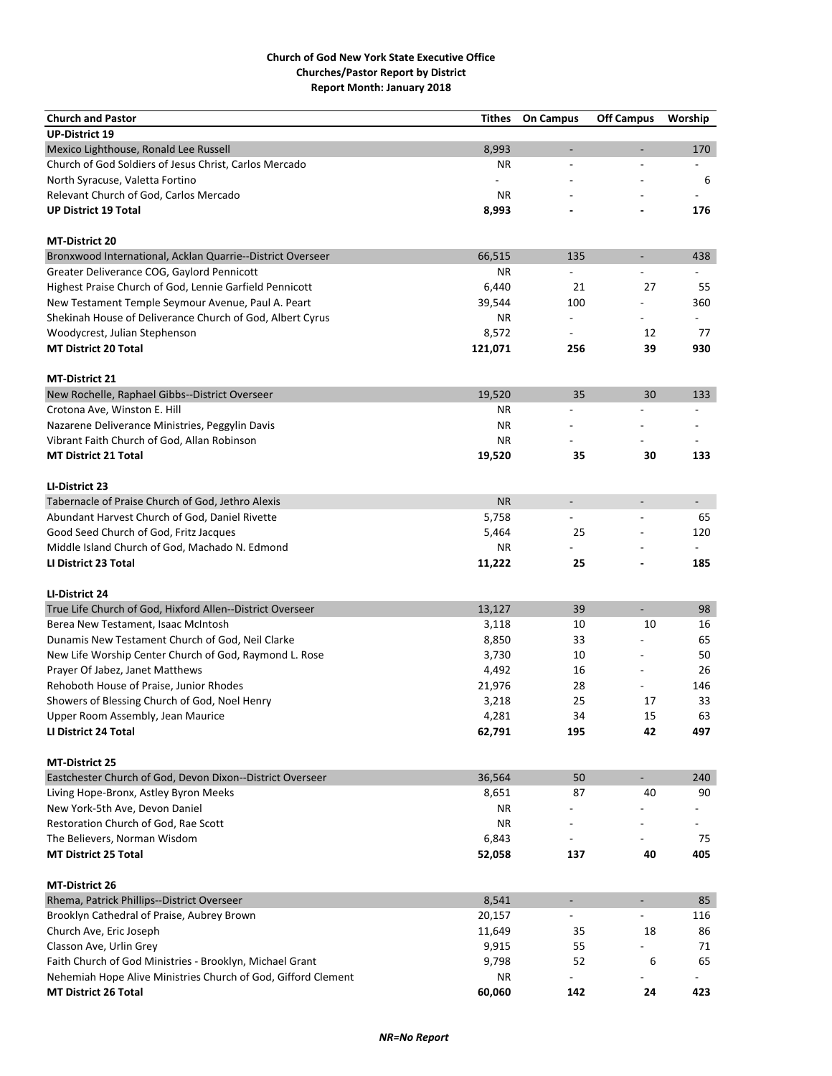| <b>Church and Pastor</b>                                              | Tithes           | <b>On Campus</b>         | <b>Off Campus</b>            | Worship        |
|-----------------------------------------------------------------------|------------------|--------------------------|------------------------------|----------------|
| <b>UP-District 19</b>                                                 |                  |                          |                              |                |
| Mexico Lighthouse, Ronald Lee Russell                                 | 8,993            | $\overline{a}$           |                              | 170            |
| Church of God Soldiers of Jesus Christ, Carlos Mercado                | <b>NR</b>        | $\overline{a}$           | $\overline{a}$               | $\overline{a}$ |
| North Syracuse, Valetta Fortino                                       |                  |                          |                              | 6              |
| Relevant Church of God, Carlos Mercado                                | <b>NR</b>        |                          |                              |                |
| <b>UP District 19 Total</b>                                           | 8,993            |                          |                              | 176            |
|                                                                       |                  |                          |                              |                |
| <b>MT-District 20</b>                                                 |                  |                          |                              |                |
| Bronxwood International, Acklan Quarrie--District Overseer            | 66,515           | 135                      | $\overline{\phantom{a}}$     | 438            |
| Greater Deliverance COG, Gaylord Pennicott                            | ΝR               |                          |                              |                |
| Highest Praise Church of God, Lennie Garfield Pennicott               | 6,440            | 21                       | 27                           | 55             |
| New Testament Temple Seymour Avenue, Paul A. Peart                    | 39,544           | 100                      |                              | 360            |
| Shekinah House of Deliverance Church of God, Albert Cyrus             | ΝR               |                          |                              |                |
| Woodycrest, Julian Stephenson                                         | 8,572            |                          | 12                           | 77             |
| <b>MT District 20 Total</b>                                           | 121,071          | 256                      | 39                           | 930            |
|                                                                       |                  |                          |                              |                |
| <b>MT-District 21</b>                                                 |                  |                          |                              |                |
| New Rochelle, Raphael Gibbs--District Overseer                        | 19,520           | 35                       | 30                           | 133            |
| Crotona Ave, Winston E. Hill                                          | ΝR               | $\overline{a}$           |                              |                |
| Nazarene Deliverance Ministries, Peggylin Davis                       | ΝR               |                          |                              |                |
| Vibrant Faith Church of God, Allan Robinson                           | <b>NR</b>        |                          |                              |                |
| <b>MT District 21 Total</b>                                           | 19,520           | 35                       | 30                           | 133            |
|                                                                       |                  |                          |                              |                |
| LI-District 23                                                        |                  |                          |                              |                |
| Tabernacle of Praise Church of God, Jethro Alexis                     | <b>NR</b>        | $\overline{\phantom{a}}$ | $\overline{\phantom{m}}$     |                |
| Abundant Harvest Church of God, Daniel Rivette                        | 5,758            |                          |                              | 65             |
| Good Seed Church of God, Fritz Jacques                                | 5,464            | 25                       |                              | 120            |
| Middle Island Church of God, Machado N. Edmond                        | ΝR               |                          |                              |                |
| LI District 23 Total                                                  | 11,222           | 25                       | $\qquad \qquad \blacksquare$ | 185            |
|                                                                       |                  |                          |                              |                |
| LI-District 24                                                        |                  |                          |                              |                |
| True Life Church of God, Hixford Allen--District Overseer             | 13,127           | 39                       |                              | 98             |
| Berea New Testament, Isaac McIntosh                                   | 3,118            | 10                       | 10                           | 16             |
| Dunamis New Testament Church of God, Neil Clarke                      | 8,850            | 33                       |                              | 65             |
| New Life Worship Center Church of God, Raymond L. Rose                | 3,730            | 10                       |                              | 50             |
| Prayer Of Jabez, Janet Matthews                                       | 4,492            | 16                       |                              | 26             |
| Rehoboth House of Praise, Junior Rhodes                               | 21,976           | 28                       |                              | 146            |
| Showers of Blessing Church of God, Noel Henry                         | 3,218            | 25                       | 17                           | 33             |
| Upper Room Assembly, Jean Maurice                                     | 4,281            | 34                       | 15                           | 63             |
| LI District 24 Total                                                  | 62,791           | 195                      | 42                           | 497            |
|                                                                       |                  |                          |                              |                |
| <b>MT-District 25</b>                                                 |                  |                          |                              |                |
| Eastchester Church of God, Devon Dixon--District Overseer             | 36,564           | 50                       | $\blacksquare$               | 240            |
| Living Hope-Bronx, Astley Byron Meeks                                 | 8,651            | 87                       | 40                           | 90             |
| New York-5th Ave, Devon Daniel                                        | ΝR               |                          |                              |                |
| Restoration Church of God, Rae Scott                                  | <b>NR</b>        |                          |                              |                |
| The Believers, Norman Wisdom                                          | 6,843            |                          |                              | 75             |
| <b>MT District 25 Total</b>                                           | 52,058           | 137                      | 40                           | 405            |
|                                                                       |                  |                          |                              |                |
| <b>MT-District 26</b>                                                 |                  |                          | $\blacksquare$               | 85             |
| Rhema, Patrick Phillips--District Overseer                            | 8,541            | $\blacksquare$           |                              |                |
| Brooklyn Cathedral of Praise, Aubrey Brown<br>Church Ave, Eric Joseph | 20,157<br>11,649 | 35                       | 18                           | 116<br>86      |
| Classon Ave, Urlin Grey                                               | 9,915            | 55                       |                              | 71             |
| Faith Church of God Ministries - Brooklyn, Michael Grant              | 9,798            | 52                       | 6                            | 65             |
| Nehemiah Hope Alive Ministries Church of God, Gifford Clement         | ΝR               |                          |                              |                |
| <b>MT District 26 Total</b>                                           | 60,060           | 142                      | 24                           | 423            |
|                                                                       |                  |                          |                              |                |